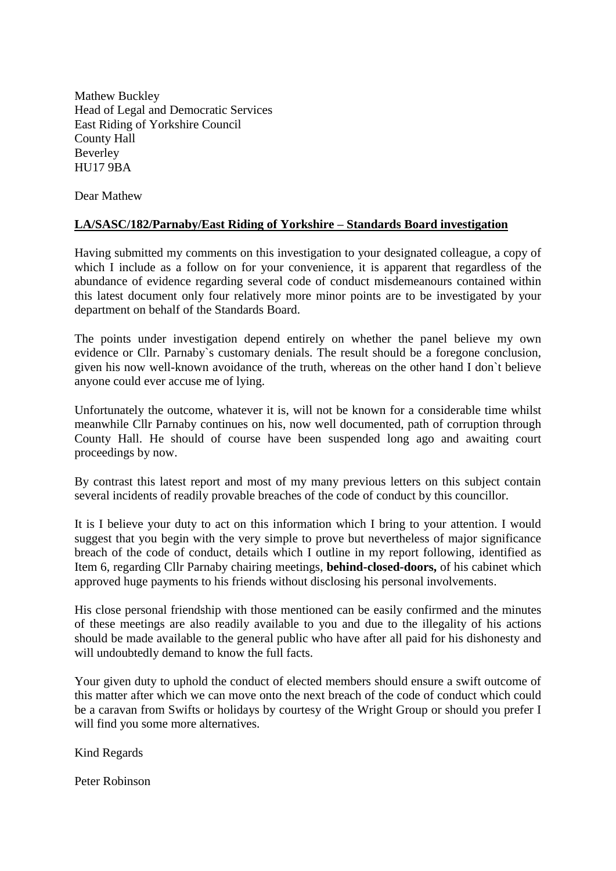Mathew Buckley Head of Legal and Democratic Services East Riding of Yorkshire Council County Hall Beverley HU17 9BA

Dear Mathew

# **LA/SASC/182/Parnaby/East Riding of Yorkshire – Standards Board investigation**

Having submitted my comments on this investigation to your designated colleague, a copy of which I include as a follow on for your convenience, it is apparent that regardless of the abundance of evidence regarding several code of conduct misdemeanours contained within this latest document only four relatively more minor points are to be investigated by your department on behalf of the Standards Board.

The points under investigation depend entirely on whether the panel believe my own evidence or Cllr. Parnaby`s customary denials. The result should be a foregone conclusion, given his now well-known avoidance of the truth, whereas on the other hand I don`t believe anyone could ever accuse me of lying.

Unfortunately the outcome, whatever it is, will not be known for a considerable time whilst meanwhile Cllr Parnaby continues on his, now well documented, path of corruption through County Hall. He should of course have been suspended long ago and awaiting court proceedings by now.

By contrast this latest report and most of my many previous letters on this subject contain several incidents of readily provable breaches of the code of conduct by this councillor.

It is I believe your duty to act on this information which I bring to your attention. I would suggest that you begin with the very simple to prove but nevertheless of major significance breach of the code of conduct, details which I outline in my report following, identified as Item 6, regarding Cllr Parnaby chairing meetings, **behind-closed-doors,** of his cabinet which approved huge payments to his friends without disclosing his personal involvements.

His close personal friendship with those mentioned can be easily confirmed and the minutes of these meetings are also readily available to you and due to the illegality of his actions should be made available to the general public who have after all paid for his dishonesty and will undoubtedly demand to know the full facts.

Your given duty to uphold the conduct of elected members should ensure a swift outcome of this matter after which we can move onto the next breach of the code of conduct which could be a caravan from Swifts or holidays by courtesy of the Wright Group or should you prefer I will find you some more alternatives.

Kind Regards

Peter Robinson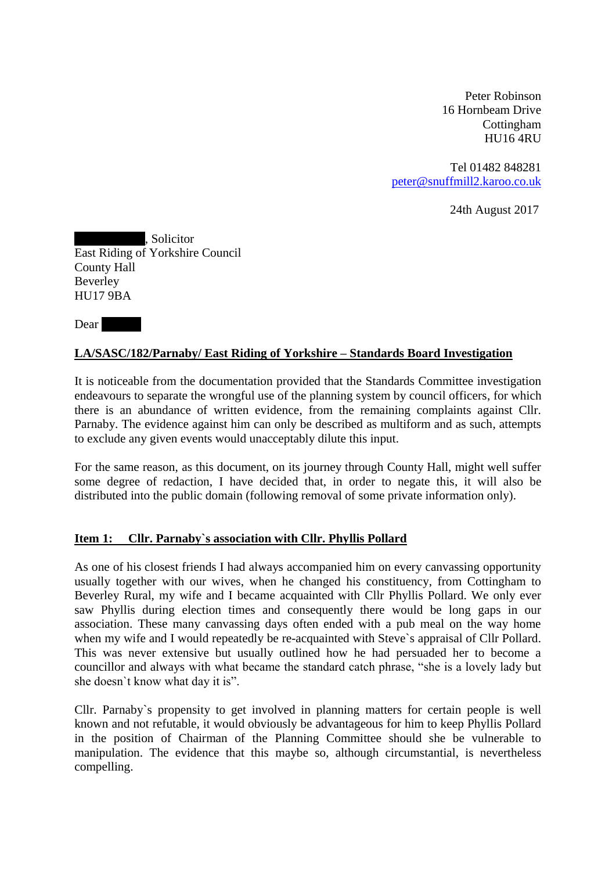Peter Robinson 16 Hornbeam Drive Cottingham HU16 4RU

Tel 01482 848281 [peter@snuffmill2.karoo.co.uk](mailto:peter@snuffmill2.karoo.co.uk)

24th August 2017

. Solicitor East Riding of Yorkshire Council County Hall Beverley HU17 9BA

Dear by Dear and the Dear and the U.S. contract of the U.S. contract of the U.S. contract of the U.S. contract of the U.S. contract of the U.S. contract of the U.S. contract of the U.S. contract of the U.S. contract of the

### **LA/SASC/182/Parnaby/ East Riding of Yorkshire – Standards Board Investigation**

It is noticeable from the documentation provided that the Standards Committee investigation endeavours to separate the wrongful use of the planning system by council officers, for which there is an abundance of written evidence, from the remaining complaints against Cllr. Parnaby. The evidence against him can only be described as multiform and as such, attempts to exclude any given events would unacceptably dilute this input.

For the same reason, as this document, on its journey through County Hall, might well suffer some degree of redaction, I have decided that, in order to negate this, it will also be distributed into the public domain (following removal of some private information only).

# **Item 1: Cllr. Parnaby`s association with Cllr. Phyllis Pollard**

As one of his closest friends I had always accompanied him on every canvassing opportunity usually together with our wives, when he changed his constituency, from Cottingham to Beverley Rural, my wife and I became acquainted with Cllr Phyllis Pollard. We only ever saw Phyllis during election times and consequently there would be long gaps in our association. These many canvassing days often ended with a pub meal on the way home when my wife and I would repeatedly be re-acquainted with Steve`s appraisal of Cllr Pollard. This was never extensive but usually outlined how he had persuaded her to become a councillor and always with what became the standard catch phrase, "she is a lovely lady but she doesn`t know what day it is".

Cllr. Parnaby`s propensity to get involved in planning matters for certain people is well known and not refutable, it would obviously be advantageous for him to keep Phyllis Pollard in the position of Chairman of the Planning Committee should she be vulnerable to manipulation. The evidence that this maybe so, although circumstantial, is nevertheless compelling.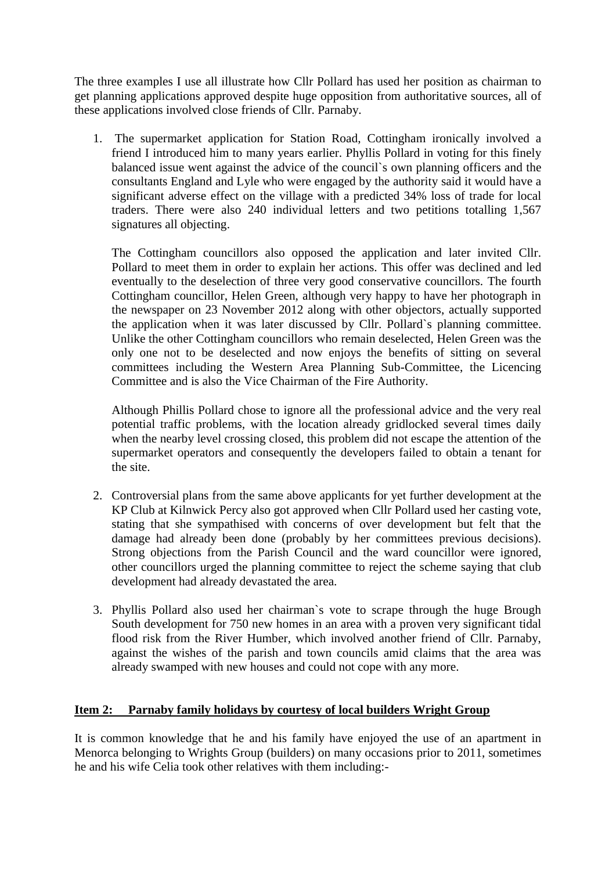The three examples I use all illustrate how Cllr Pollard has used her position as chairman to get planning applications approved despite huge opposition from authoritative sources, all of these applications involved close friends of Cllr. Parnaby.

1. The supermarket application for Station Road, Cottingham ironically involved a friend I introduced him to many years earlier. Phyllis Pollard in voting for this finely balanced issue went against the advice of the council`s own planning officers and the consultants England and Lyle who were engaged by the authority said it would have a significant adverse effect on the village with a predicted 34% loss of trade for local traders. There were also 240 individual letters and two petitions totalling 1,567 signatures all objecting.

The Cottingham councillors also opposed the application and later invited Cllr. Pollard to meet them in order to explain her actions. This offer was declined and led eventually to the deselection of three very good conservative councillors. The fourth Cottingham councillor, Helen Green, although very happy to have her photograph in the newspaper on 23 November 2012 along with other objectors, actually supported the application when it was later discussed by Cllr. Pollard`s planning committee. Unlike the other Cottingham councillors who remain deselected, Helen Green was the only one not to be deselected and now enjoys the benefits of sitting on several committees including the Western Area Planning Sub-Committee, the Licencing Committee and is also the Vice Chairman of the Fire Authority.

Although Phillis Pollard chose to ignore all the professional advice and the very real potential traffic problems, with the location already gridlocked several times daily when the nearby level crossing closed, this problem did not escape the attention of the supermarket operators and consequently the developers failed to obtain a tenant for the site.

- 2. Controversial plans from the same above applicants for yet further development at the KP Club at Kilnwick Percy also got approved when Cllr Pollard used her casting vote, stating that she sympathised with concerns of over development but felt that the damage had already been done (probably by her committees previous decisions). Strong objections from the Parish Council and the ward councillor were ignored, other councillors urged the planning committee to reject the scheme saying that club development had already devastated the area.
- 3. Phyllis Pollard also used her chairman`s vote to scrape through the huge Brough South development for 750 new homes in an area with a proven very significant tidal flood risk from the River Humber, which involved another friend of Cllr. Parnaby, against the wishes of the parish and town councils amid claims that the area was already swamped with new houses and could not cope with any more.

# **Item 2: Parnaby family holidays by courtesy of local builders Wright Group**

It is common knowledge that he and his family have enjoyed the use of an apartment in Menorca belonging to Wrights Group (builders) on many occasions prior to 2011, sometimes he and his wife Celia took other relatives with them including:-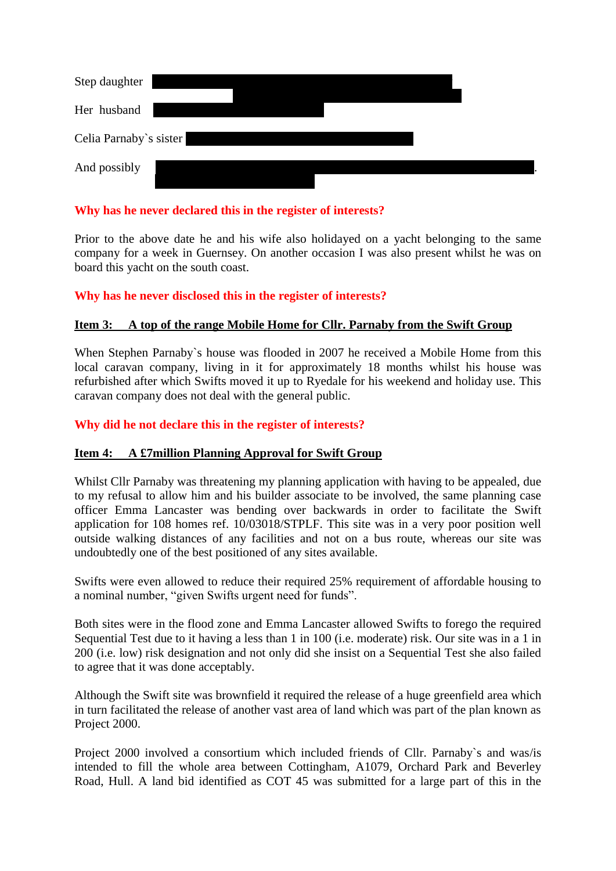| Step daughter          |  |  |  |
|------------------------|--|--|--|
| Her husband            |  |  |  |
| Celia Parnaby's sister |  |  |  |
| And possibly           |  |  |  |

## **Why has he never declared this in the register of interests?**

Prior to the above date he and his wife also holidayed on a yacht belonging to the same company for a week in Guernsey. On another occasion I was also present whilst he was on board this yacht on the south coast.

# **Why has he never disclosed this in the register of interests?**

### **Item 3: A top of the range Mobile Home for Cllr. Parnaby from the Swift Group**

When Stephen Parnaby`s house was flooded in 2007 he received a Mobile Home from this local caravan company, living in it for approximately 18 months whilst his house was refurbished after which Swifts moved it up to Ryedale for his weekend and holiday use. This caravan company does not deal with the general public.

#### **Why did he not declare this in the register of interests?**

#### **Item 4: A £7million Planning Approval for Swift Group**

Whilst Cllr Parnaby was threatening my planning application with having to be appealed, due to my refusal to allow him and his builder associate to be involved, the same planning case officer Emma Lancaster was bending over backwards in order to facilitate the Swift application for 108 homes ref. 10/03018/STPLF. This site was in a very poor position well outside walking distances of any facilities and not on a bus route, whereas our site was undoubtedly one of the best positioned of any sites available.

Swifts were even allowed to reduce their required 25% requirement of affordable housing to a nominal number, "given Swifts urgent need for funds".

Both sites were in the flood zone and Emma Lancaster allowed Swifts to forego the required Sequential Test due to it having a less than 1 in 100 (i.e. moderate) risk. Our site was in a 1 in 200 (i.e. low) risk designation and not only did she insist on a Sequential Test she also failed to agree that it was done acceptably.

Although the Swift site was brownfield it required the release of a huge greenfield area which in turn facilitated the release of another vast area of land which was part of the plan known as Project 2000.

Project 2000 involved a consortium which included friends of Cllr. Parnaby`s and was/is intended to fill the whole area between Cottingham, A1079, Orchard Park and Beverley Road, Hull. A land bid identified as COT 45 was submitted for a large part of this in the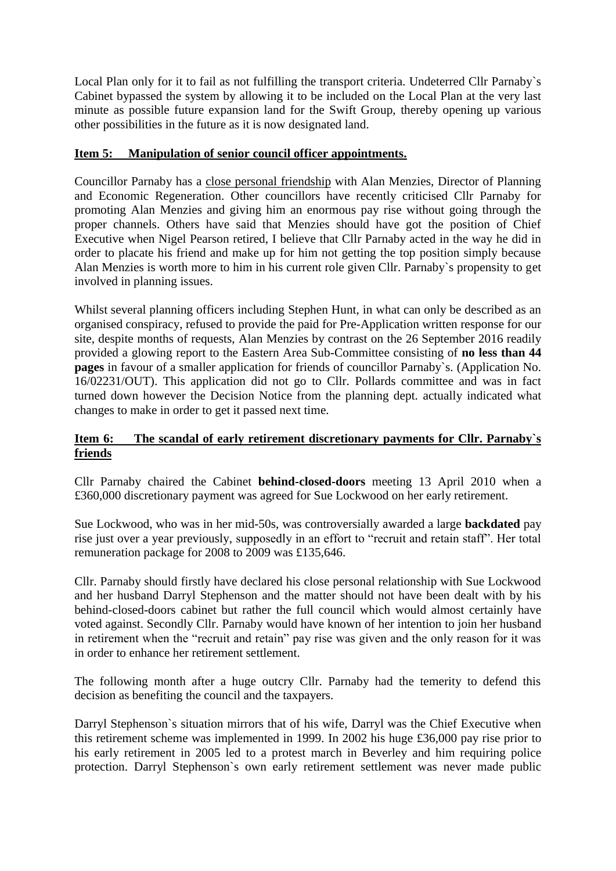Local Plan only for it to fail as not fulfilling the transport criteria. Undeterred Cllr Parnaby`s Cabinet bypassed the system by allowing it to be included on the Local Plan at the very last minute as possible future expansion land for the Swift Group, thereby opening up various other possibilities in the future as it is now designated land.

# **Item 5: Manipulation of senior council officer appointments.**

Councillor Parnaby has a close personal friendship with Alan Menzies, Director of Planning and Economic Regeneration. Other councillors have recently criticised Cllr Parnaby for promoting Alan Menzies and giving him an enormous pay rise without going through the proper channels. Others have said that Menzies should have got the position of Chief Executive when Nigel Pearson retired, I believe that Cllr Parnaby acted in the way he did in order to placate his friend and make up for him not getting the top position simply because Alan Menzies is worth more to him in his current role given Cllr. Parnaby`s propensity to get involved in planning issues.

Whilst several planning officers including Stephen Hunt, in what can only be described as an organised conspiracy, refused to provide the paid for Pre-Application written response for our site, despite months of requests, Alan Menzies by contrast on the 26 September 2016 readily provided a glowing report to the Eastern Area Sub-Committee consisting of **no less than 44 pages** in favour of a smaller application for friends of councillor Parnaby`s. (Application No. 16/02231/OUT). This application did not go to Cllr. Pollards committee and was in fact turned down however the Decision Notice from the planning dept. actually indicated what changes to make in order to get it passed next time.

# **Item 6: The scandal of early retirement discretionary payments for Cllr. Parnaby`s friends**

Cllr Parnaby chaired the Cabinet **behind-closed-doors** meeting 13 April 2010 when a £360,000 discretionary payment was agreed for Sue Lockwood on her early retirement.

Sue Lockwood, who was in her mid-50s, was controversially awarded a large **backdated** pay rise just over a year previously, supposedly in an effort to "recruit and retain staff". Her total remuneration package for 2008 to 2009 was £135,646.

Cllr. Parnaby should firstly have declared his close personal relationship with Sue Lockwood and her husband Darryl Stephenson and the matter should not have been dealt with by his behind-closed-doors cabinet but rather the full council which would almost certainly have voted against. Secondly Cllr. Parnaby would have known of her intention to join her husband in retirement when the "recruit and retain" pay rise was given and the only reason for it was in order to enhance her retirement settlement.

The following month after a huge outcry Cllr. Parnaby had the temerity to defend this decision as benefiting the council and the taxpayers.

Darryl Stephenson`s situation mirrors that of his wife, Darryl was the Chief Executive when this retirement scheme was implemented in 1999. In 2002 his huge £36,000 pay rise prior to his early retirement in 2005 led to a protest march in Beverley and him requiring police protection. Darryl Stephenson`s own early retirement settlement was never made public